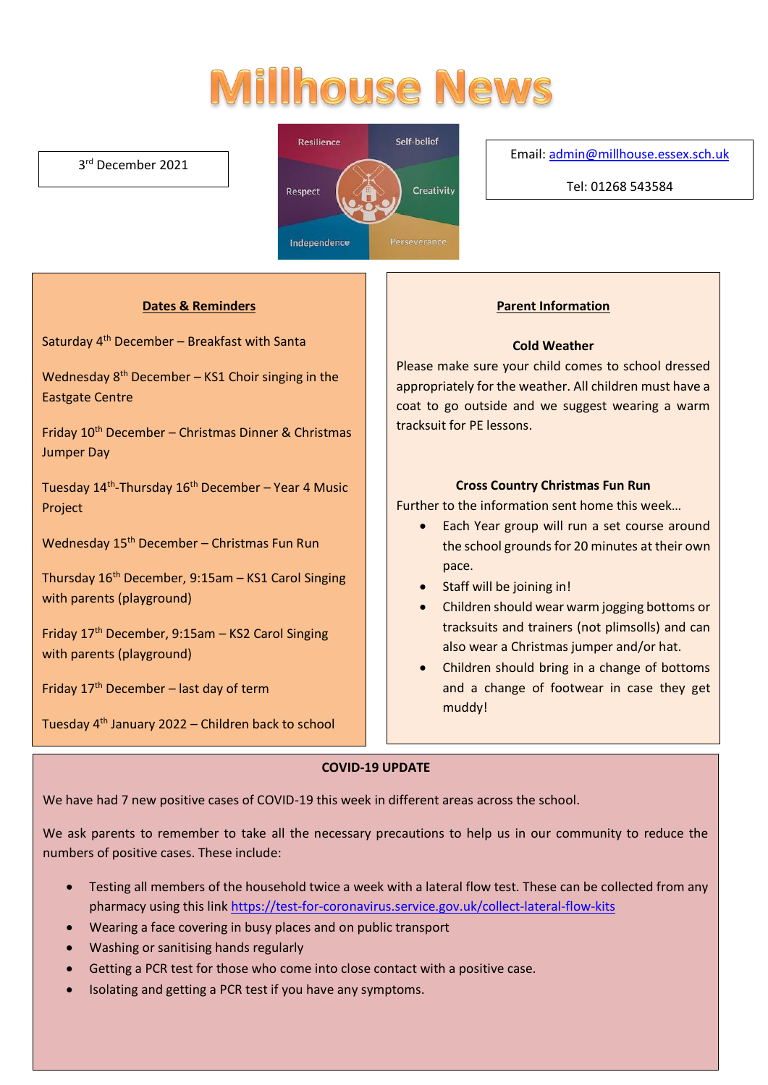# **Millhouse News**

#### 3 rd December 2021



#### Email[: admin@millhouse.essex.sch.uk](mailto:admin@millhouse.essex.sch.uk)

Tel: 01268 543584

#### **Dates & Reminders**

Saturday 4<sup>th</sup> December - Breakfast with Santa

Wednesday  $8<sup>th</sup>$  December – KS1 Choir singing in the Eastgate Centre

Friday 10th December – Christmas Dinner & Christmas Jumper Day

Tuesday 14<sup>th</sup>-Thursday 16<sup>th</sup> December – Year 4 Music Project

Wednesday 15<sup>th</sup> December – Christmas Fun Run

Thursday 16th December, 9:15am – KS1 Carol Singing with parents (playground)

Friday 17th December, 9:15am – KS2 Carol Singing with parents (playground)

Friday  $17<sup>th</sup>$  December – last day of term

Tuesday 4th January 2022 – Children back to school

#### **Parent Information**

#### **Cold Weather**

Please make sure your child comes to school dressed appropriately for the weather. All children must have a coat to go outside and we suggest wearing a warm tracksuit for PE lessons.

#### **Cross Country Christmas Fun Run**

Further to the information sent home this week…

- Each Year group will run a set course around the school grounds for 20 minutes at their own pace.
- Staff will be joining in!
- Children should wear warm jogging bottoms or tracksuits and trainers (not plimsolls) and can also wear a Christmas jumper and/or hat.
- Children should bring in a change of bottoms and a change of footwear in case they get muddy!

#### **COVID-19 UPDATE**

We have had 7 new positive cases of COVID-19 this week in different areas across the school.

We ask parents to remember to take all the necessary precautions to help us in our community to reduce the numbers of positive cases. These include:

- Testing all members of the household twice a week with a lateral flow test. These can be collected from any pharmacy using this link<https://test-for-coronavirus.service.gov.uk/collect-lateral-flow-kits>
- Wearing a face covering in busy places and on public transport
- Washing or sanitising hands regularly
- Getting a PCR test for those who come into close contact with a positive case.
- Isolating and getting a PCR test if you have any symptoms.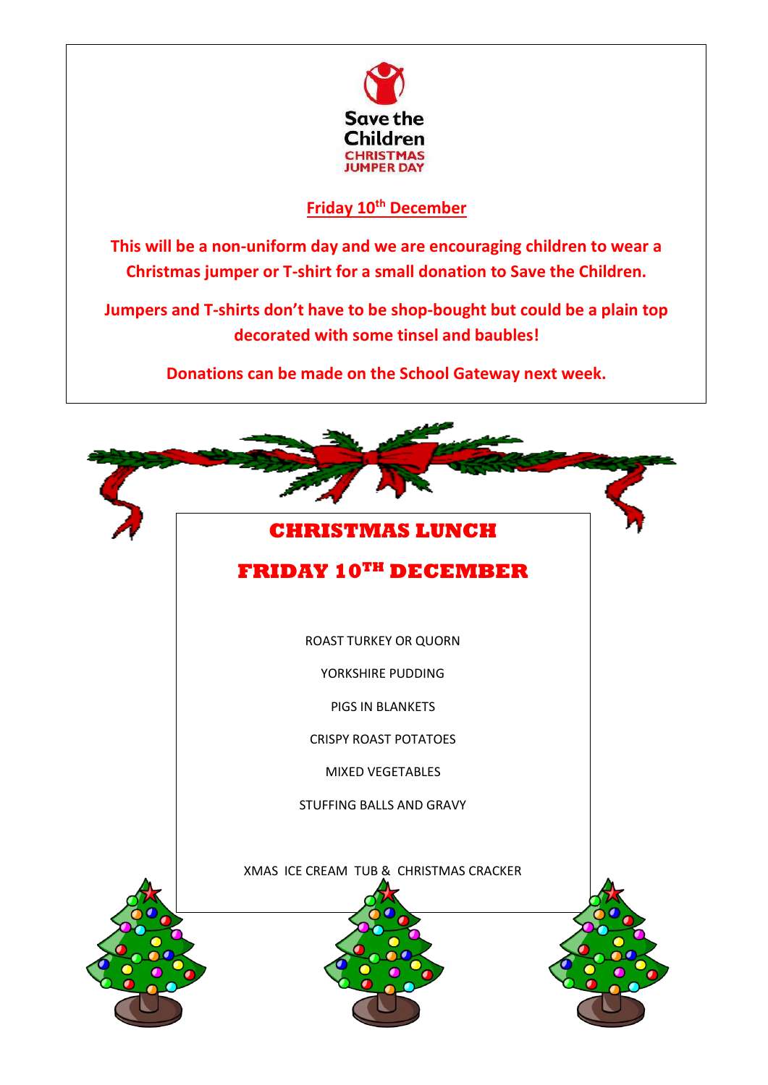

### **Friday 10th December**

**This will be a non-uniform day and we are encouraging children to wear a Christmas jumper or T-shirt for a small donation to Save the Children.**

**Jumpers and T-shirts don't have to be shop-bought but could be a plain top decorated with some tinsel and baubles!**

**Donations can be made on the School Gateway next week.**